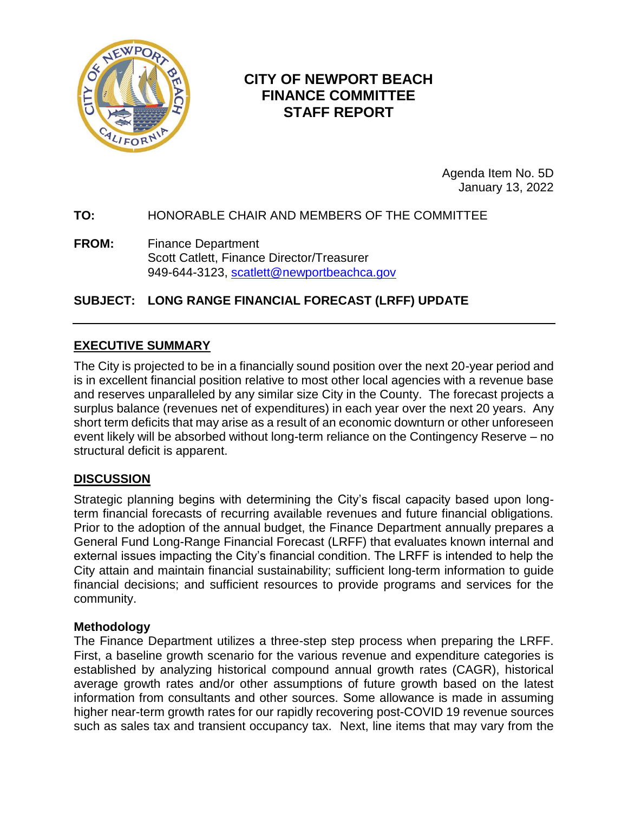

# **CITY OF NEWPORT BEACH FINANCE COMMITTEE STAFF REPORT**

Agenda Item No. 5D January 13, 2022

## **TO:** HONORABLE CHAIR AND MEMBERS OF THE COMMITTEE

**FROM:** Finance Department Scott Catlett, Finance Director/Treasurer 949-644-3123, [scatlett@newportbeachca.gov](mailto:scatlett@newportbeachca.gov)

# **SUBJECT: LONG RANGE FINANCIAL FORECAST (LRFF) UPDATE**

## **EXECUTIVE SUMMARY**

The City is projected to be in a financially sound position over the next 20-year period and is in excellent financial position relative to most other local agencies with a revenue base and reserves unparalleled by any similar size City in the County. The forecast projects a surplus balance (revenues net of expenditures) in each year over the next 20 years. Any short term deficits that may arise as a result of an economic downturn or other unforeseen event likely will be absorbed without long-term reliance on the Contingency Reserve – no structural deficit is apparent.

## **DISCUSSION**

Strategic planning begins with determining the City's fiscal capacity based upon longterm financial forecasts of recurring available revenues and future financial obligations. Prior to the adoption of the annual budget, the Finance Department annually prepares a General Fund Long-Range Financial Forecast (LRFF) that evaluates known internal and external issues impacting the City's financial condition. The LRFF is intended to help the City attain and maintain financial sustainability; sufficient long-term information to guide financial decisions; and sufficient resources to provide programs and services for the community.

#### **Methodology**

The Finance Department utilizes a three-step step process when preparing the LRFF. First, a baseline growth scenario for the various revenue and expenditure categories is established by analyzing historical compound annual growth rates (CAGR), historical average growth rates and/or other assumptions of future growth based on the latest information from consultants and other sources. Some allowance is made in assuming higher near-term growth rates for our rapidly recovering post-COVID 19 revenue sources such as sales tax and transient occupancy tax. Next, line items that may vary from the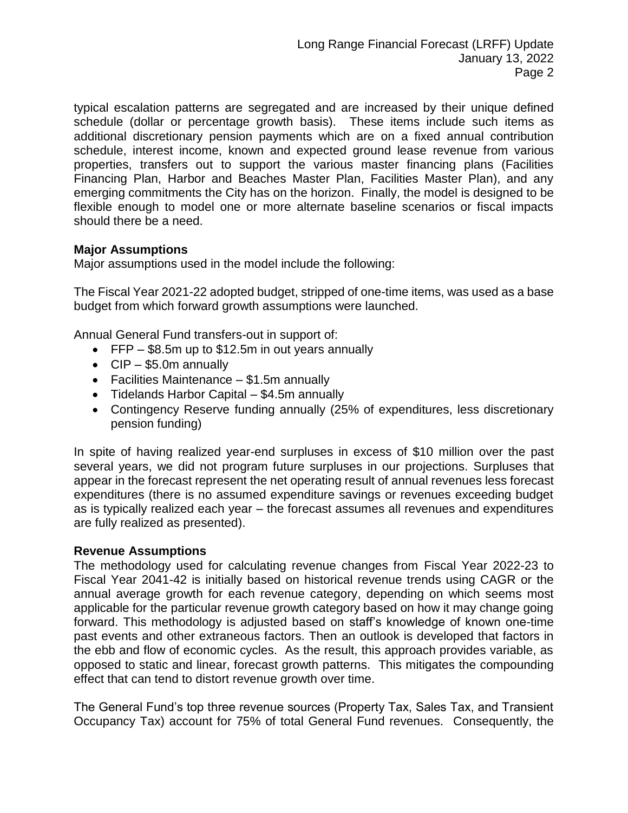typical escalation patterns are segregated and are increased by their unique defined schedule (dollar or percentage growth basis). These items include such items as additional discretionary pension payments which are on a fixed annual contribution schedule, interest income, known and expected ground lease revenue from various properties, transfers out to support the various master financing plans (Facilities Financing Plan, Harbor and Beaches Master Plan, Facilities Master Plan), and any emerging commitments the City has on the horizon. Finally, the model is designed to be flexible enough to model one or more alternate baseline scenarios or fiscal impacts should there be a need.

## **Major Assumptions**

Major assumptions used in the model include the following:

The Fiscal Year 2021-22 adopted budget, stripped of one-time items, was used as a base budget from which forward growth assumptions were launched.

Annual General Fund transfers-out in support of:

- FFP \$8.5m up to \$12.5m in out years annually
- $\bullet$  CIP \$5.0m annually
- Facilities Maintenance \$1.5m annually
- Tidelands Harbor Capital \$4.5m annually
- Contingency Reserve funding annually (25% of expenditures, less discretionary pension funding)

In spite of having realized year-end surpluses in excess of \$10 million over the past several years, we did not program future surpluses in our projections. Surpluses that appear in the forecast represent the net operating result of annual revenues less forecast expenditures (there is no assumed expenditure savings or revenues exceeding budget as is typically realized each year – the forecast assumes all revenues and expenditures are fully realized as presented).

#### **Revenue Assumptions**

The methodology used for calculating revenue changes from Fiscal Year 2022-23 to Fiscal Year 2041-42 is initially based on historical revenue trends using CAGR or the annual average growth for each revenue category, depending on which seems most applicable for the particular revenue growth category based on how it may change going forward. This methodology is adjusted based on staff's knowledge of known one-time past events and other extraneous factors. Then an outlook is developed that factors in the ebb and flow of economic cycles. As the result, this approach provides variable, as opposed to static and linear, forecast growth patterns. This mitigates the compounding effect that can tend to distort revenue growth over time.

The General Fund's top three revenue sources (Property Tax, Sales Tax, and Transient Occupancy Tax) account for 75% of total General Fund revenues. Consequently, the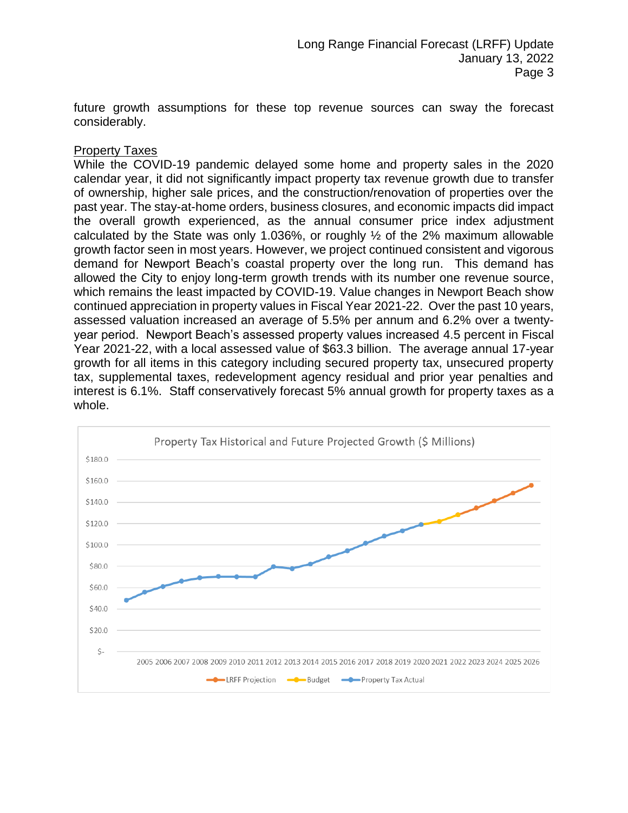future growth assumptions for these top revenue sources can sway the forecast considerably.

#### Property Taxes

While the COVID-19 pandemic delayed some home and property sales in the 2020 calendar year, it did not significantly impact property tax revenue growth due to transfer of ownership, higher sale prices, and the construction/renovation of properties over the past year. The stay-at-home orders, business closures, and economic impacts did impact the overall growth experienced, as the annual consumer price index adjustment calculated by the State was only 1.036%, or roughly  $\frac{1}{2}$  of the 2% maximum allowable growth factor seen in most years. However, we project continued consistent and vigorous demand for Newport Beach's coastal property over the long run. This demand has allowed the City to enjoy long-term growth trends with its number one revenue source, which remains the least impacted by COVID-19. Value changes in Newport Beach show continued appreciation in property values in Fiscal Year 2021-22. Over the past 10 years, assessed valuation increased an average of 5.5% per annum and 6.2% over a twentyyear period. Newport Beach's assessed property values increased 4.5 percent in Fiscal Year 2021-22, with a local assessed value of \$63.3 billion. The average annual 17-year growth for all items in this category including secured property tax, unsecured property tax, supplemental taxes, redevelopment agency residual and prior year penalties and interest is 6.1%. Staff conservatively forecast 5% annual growth for property taxes as a whole.

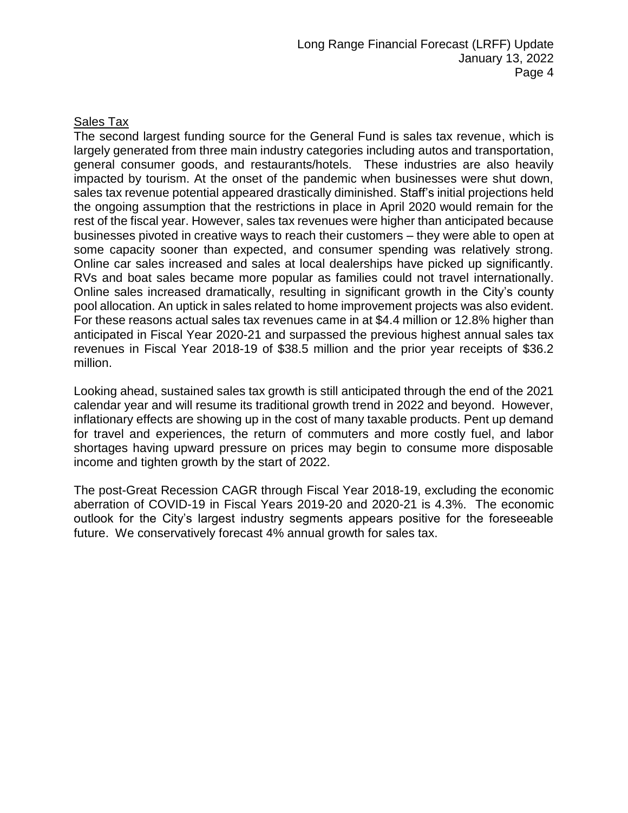## Sales Tax

The second largest funding source for the General Fund is sales tax revenue, which is largely generated from three main industry categories including autos and transportation, general consumer goods, and restaurants/hotels. These industries are also heavily impacted by tourism. At the onset of the pandemic when businesses were shut down, sales tax revenue potential appeared drastically diminished. Staff's initial projections held the ongoing assumption that the restrictions in place in April 2020 would remain for the rest of the fiscal year. However, sales tax revenues were higher than anticipated because businesses pivoted in creative ways to reach their customers – they were able to open at some capacity sooner than expected, and consumer spending was relatively strong. Online car sales increased and sales at local dealerships have picked up significantly. RVs and boat sales became more popular as families could not travel internationally. Online sales increased dramatically, resulting in significant growth in the City's county pool allocation. An uptick in sales related to home improvement projects was also evident. For these reasons actual sales tax revenues came in at \$4.4 million or 12.8% higher than anticipated in Fiscal Year 2020-21 and surpassed the previous highest annual sales tax revenues in Fiscal Year 2018-19 of \$38.5 million and the prior year receipts of \$36.2 million.

Looking ahead, sustained sales tax growth is still anticipated through the end of the 2021 calendar year and will resume its traditional growth trend in 2022 and beyond. However, inflationary effects are showing up in the cost of many taxable products. Pent up demand for travel and experiences, the return of commuters and more costly fuel, and labor shortages having upward pressure on prices may begin to consume more disposable income and tighten growth by the start of 2022.

The post-Great Recession CAGR through Fiscal Year 2018-19, excluding the economic aberration of COVID-19 in Fiscal Years 2019-20 and 2020-21 is 4.3%. The economic outlook for the City's largest industry segments appears positive for the foreseeable future. We conservatively forecast 4% annual growth for sales tax.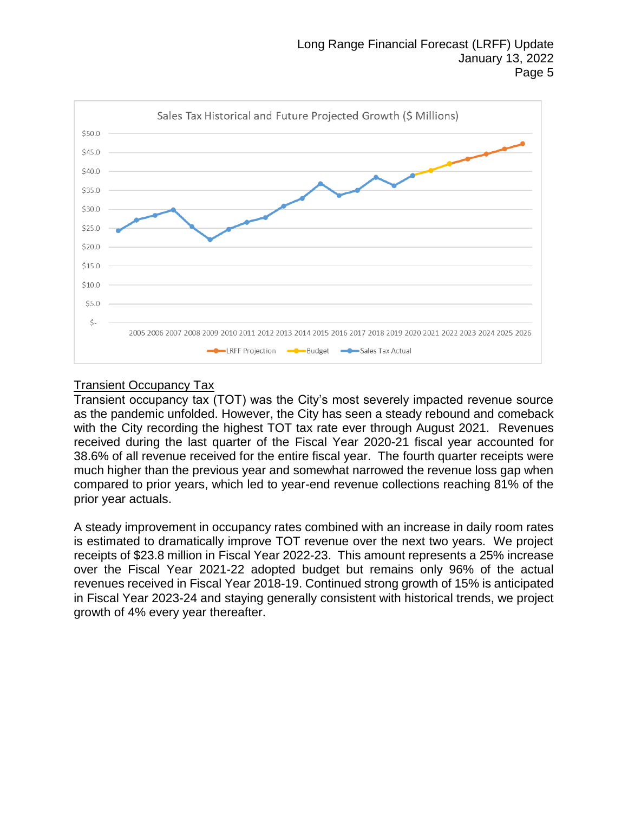

## Transient Occupancy Tax

Transient occupancy tax (TOT) was the City's most severely impacted revenue source as the pandemic unfolded. However, the City has seen a steady rebound and comeback with the City recording the highest TOT tax rate ever through August 2021. Revenues received during the last quarter of the Fiscal Year 2020-21 fiscal year accounted for 38.6% of all revenue received for the entire fiscal year. The fourth quarter receipts were much higher than the previous year and somewhat narrowed the revenue loss gap when compared to prior years, which led to year-end revenue collections reaching 81% of the prior year actuals.

A steady improvement in occupancy rates combined with an increase in daily room rates is estimated to dramatically improve TOT revenue over the next two years. We project receipts of \$23.8 million in Fiscal Year 2022-23. This amount represents a 25% increase over the Fiscal Year 2021-22 adopted budget but remains only 96% of the actual revenues received in Fiscal Year 2018-19. Continued strong growth of 15% is anticipated in Fiscal Year 2023-24 and staying generally consistent with historical trends, we project growth of 4% every year thereafter.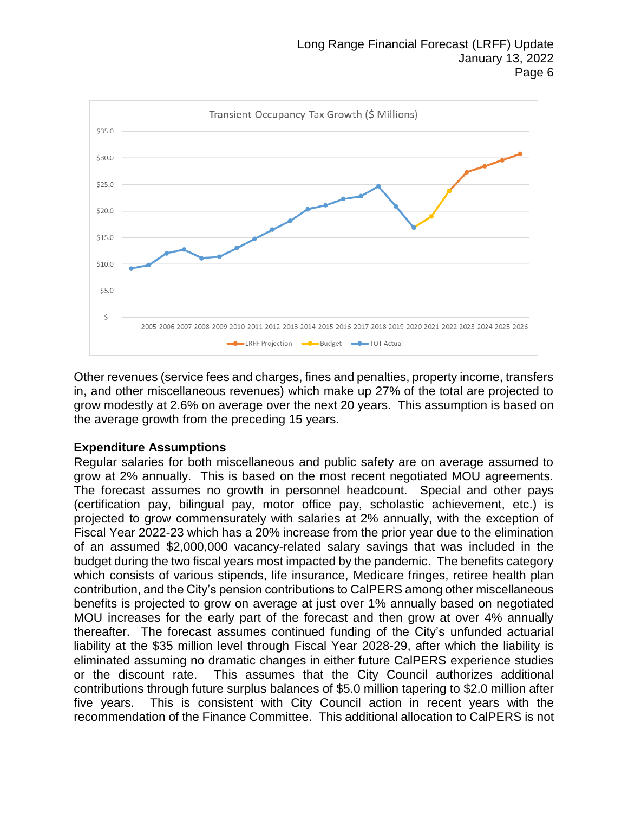

Other revenues (service fees and charges, fines and penalties, property income, transfers in, and other miscellaneous revenues) which make up 27% of the total are projected to grow modestly at 2.6% on average over the next 20 years. This assumption is based on the average growth from the preceding 15 years.

#### **Expenditure Assumptions**

Regular salaries for both miscellaneous and public safety are on average assumed to grow at 2% annually. This is based on the most recent negotiated MOU agreements. The forecast assumes no growth in personnel headcount. Special and other pays (certification pay, bilingual pay, motor office pay, scholastic achievement, etc.) is projected to grow commensurately with salaries at 2% annually, with the exception of Fiscal Year 2022-23 which has a 20% increase from the prior year due to the elimination of an assumed \$2,000,000 vacancy-related salary savings that was included in the budget during the two fiscal years most impacted by the pandemic. The benefits category which consists of various stipends, life insurance, Medicare fringes, retiree health plan contribution, and the City's pension contributions to CalPERS among other miscellaneous benefits is projected to grow on average at just over 1% annually based on negotiated MOU increases for the early part of the forecast and then grow at over 4% annually thereafter. The forecast assumes continued funding of the City's unfunded actuarial liability at the \$35 million level through Fiscal Year 2028-29, after which the liability is eliminated assuming no dramatic changes in either future CalPERS experience studies or the discount rate. This assumes that the City Council authorizes additional contributions through future surplus balances of \$5.0 million tapering to \$2.0 million after five years. This is consistent with City Council action in recent years with the recommendation of the Finance Committee. This additional allocation to CalPERS is not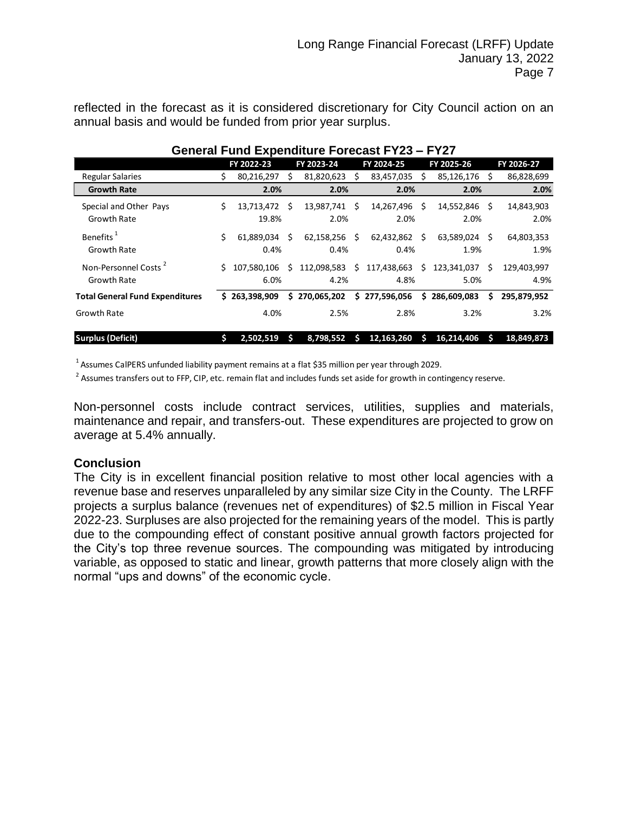reflected in the forecast as it is considered discretionary for City Council action on an annual basis and would be funded from prior year surplus.

| <u> Ochcial i unu Expenditure i Ulcuast i 125 – i 127</u> |    |                     |     |                       |    |                     |      |                        |   |                     |
|-----------------------------------------------------------|----|---------------------|-----|-----------------------|----|---------------------|------|------------------------|---|---------------------|
|                                                           |    | FY 2022-23          |     | FY 2023-24            |    | FY 2024-25          |      | FY 2025-26             |   | FY 2026-27          |
| <b>Regular Salaries</b>                                   |    | 80,216,297          | s   | 81,820,623            | S  | 83,457,035          | S    | 85,126,176 \$          |   | 86,828,699          |
| <b>Growth Rate</b>                                        |    | 2.0%                |     | 2.0%                  |    | 2.0%                |      | 2.0%                   |   | 2.0%                |
| Special and Other Pays<br><b>Growth Rate</b>              | Ś. | 13,713,472<br>19.8% | - Ś | 13,987,741 \$<br>2.0% |    | 14,267,496<br>2.0%  | Ŝ.   | 14,552,846 \$<br>2.0%  |   | 14,843,903<br>2.0%  |
| Benefits <sup>1</sup><br><b>Growth Rate</b>               | Ś. | 61.889.034<br>0.4%  | -S  | 62,158,256 \$<br>0.4% |    | 62,432,862<br>0.4%  | - \$ | 63,589,024 \$<br>1.9%  |   | 64,803,353<br>1.9%  |
| Non-Personnel Costs <sup>2</sup><br><b>Growth Rate</b>    | Ś. | 107,580,106<br>6.0% | Ś   | 112,098,583<br>4.2%   | Ŝ. | 117,438,663<br>4.8% | Ŝ.   | 123,341,037 \$<br>5.0% |   | 129,403,997<br>4.9% |
| <b>Total General Fund Expenditures</b>                    |    | \$263.398.909       |     | \$270,065,202         |    | \$277,596,056       |      | \$286,609,083          | s | 295,879,952         |
| <b>Growth Rate</b>                                        |    | 4.0%                |     | 2.5%                  |    | 2.8%                |      | 3.2%                   |   | 3.2%                |
| <b>Surplus (Deficit)</b>                                  | Ś  | 2,502,519           |     | 8,798,552             |    | 12,163,260          |      | 16,214,406             |   | 18,849,873          |

## **General Fund Expenditure Forecast FY23 – FY27**

<sup>1</sup> Assumes CalPERS unfunded liability payment remains at a flat \$35 million per year through 2029.

<sup>2</sup> Assumes transfers out to FFP, CIP, etc. remain flat and includes funds set aside for growth in contingency reserve.

Non-personnel costs include contract services, utilities, supplies and materials, maintenance and repair, and transfers-out. These expenditures are projected to grow on average at 5.4% annually.

#### **Conclusion**

The City is in excellent financial position relative to most other local agencies with a revenue base and reserves unparalleled by any similar size City in the County. The LRFF projects a surplus balance (revenues net of expenditures) of \$2.5 million in Fiscal Year 2022-23. Surpluses are also projected for the remaining years of the model. This is partly due to the compounding effect of constant positive annual growth factors projected for the City's top three revenue sources. The compounding was mitigated by introducing variable, as opposed to static and linear, growth patterns that more closely align with the normal "ups and downs" of the economic cycle.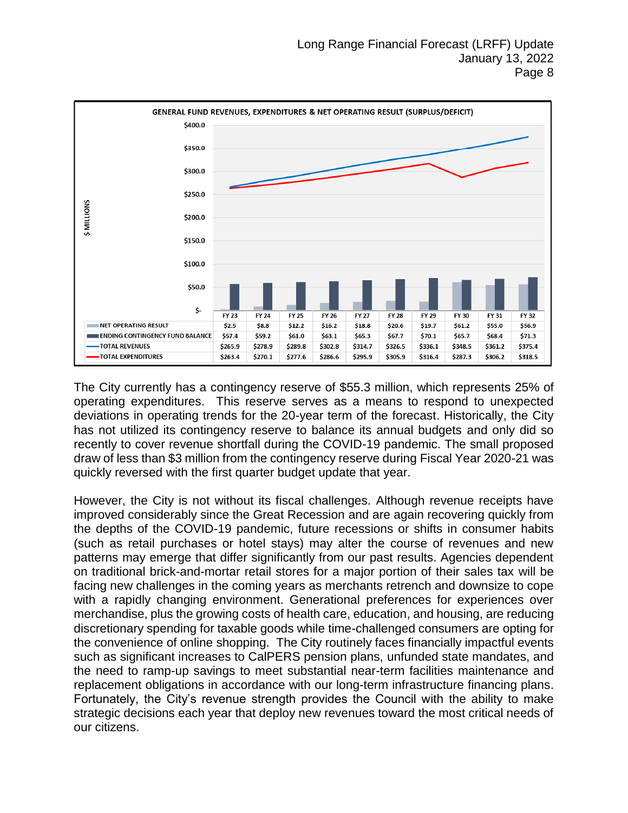

The City currently has a contingency reserve of \$55.3 million, which represents 25% of operating expenditures. This reserve serves as a means to respond to unexpected deviations in operating trends for the 20-year term of the forecast. Historically, the City has not utilized its contingency reserve to balance its annual budgets and only did so recently to cover revenue shortfall during the COVID-19 pandemic. The small proposed draw of less than \$3 million from the contingency reserve during Fiscal Year 2020-21 was quickly reversed with the first quarter budget update that year.

However, the City is not without its fiscal challenges. Although revenue receipts have improved considerably since the Great Recession and are again recovering quickly from the depths of the COVID-19 pandemic, future recessions or shifts in consumer habits (such as retail purchases or hotel stays) may alter the course of revenues and new patterns may emerge that differ significantly from our past results. Agencies dependent on traditional brick-and-mortar retail stores for a major portion of their sales tax will be facing new challenges in the coming years as merchants retrench and downsize to cope with a rapidly changing environment. Generational preferences for experiences over merchandise, plus the growing costs of health care, education, and housing, are reducing discretionary spending for taxable goods while time-challenged consumers are opting for the convenience of online shopping. The City routinely faces financially impactful events such as significant increases to CalPERS pension plans, unfunded state mandates, and the need to ramp-up savings to meet substantial near-term facilities maintenance and replacement obligations in accordance with our long-term infrastructure financing plans. Fortunately, the City's revenue strength provides the Council with the ability to make strategic decisions each year that deploy new revenues toward the most critical needs of our citizens.